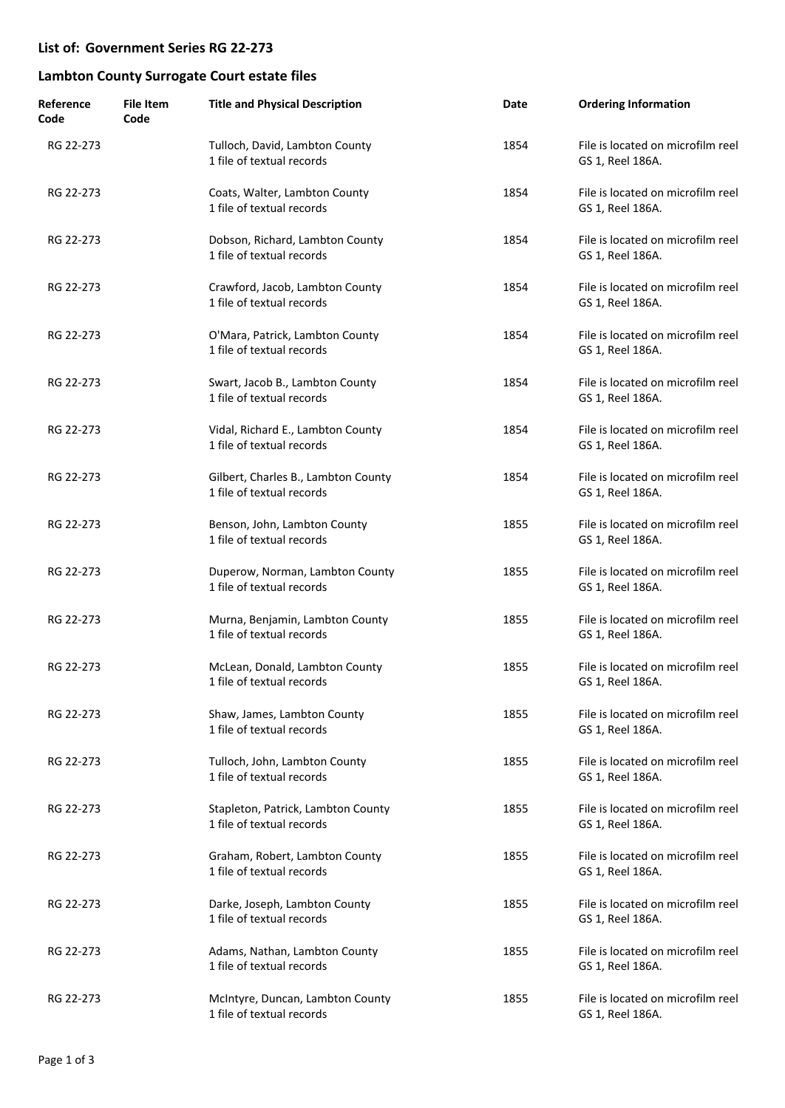### **List of: Government Series RG 22-273**

### **Lambton County Surrogate Court estate files**

| Reference<br>Code | <b>File Item</b><br>Code | <b>Title and Physical Description</b>                            | Date | <b>Ordering Information</b>                           |
|-------------------|--------------------------|------------------------------------------------------------------|------|-------------------------------------------------------|
| RG 22-273         |                          | Tulloch, David, Lambton County<br>1 file of textual records      | 1854 | File is located on microfilm reel<br>GS 1, Reel 186A. |
| RG 22-273         |                          | Coats, Walter, Lambton County<br>1 file of textual records       | 1854 | File is located on microfilm reel<br>GS 1, Reel 186A. |
| RG 22-273         |                          | Dobson, Richard, Lambton County<br>1 file of textual records     | 1854 | File is located on microfilm reel<br>GS 1, Reel 186A. |
| RG 22-273         |                          | Crawford, Jacob, Lambton County<br>1 file of textual records     | 1854 | File is located on microfilm reel<br>GS 1, Reel 186A. |
| RG 22-273         |                          | O'Mara, Patrick, Lambton County<br>1 file of textual records     | 1854 | File is located on microfilm reel<br>GS 1, Reel 186A. |
| RG 22-273         |                          | Swart, Jacob B., Lambton County<br>1 file of textual records     | 1854 | File is located on microfilm reel<br>GS 1, Reel 186A. |
| RG 22-273         |                          | Vidal, Richard E., Lambton County<br>1 file of textual records   | 1854 | File is located on microfilm reel<br>GS 1, Reel 186A. |
| RG 22-273         |                          | Gilbert, Charles B., Lambton County<br>1 file of textual records | 1854 | File is located on microfilm reel<br>GS 1, Reel 186A. |
| RG 22-273         |                          | Benson, John, Lambton County<br>1 file of textual records        | 1855 | File is located on microfilm reel<br>GS 1, Reel 186A. |
| RG 22-273         |                          | Duperow, Norman, Lambton County<br>1 file of textual records     | 1855 | File is located on microfilm reel<br>GS 1, Reel 186A. |
| RG 22-273         |                          | Murna, Benjamin, Lambton County<br>1 file of textual records     | 1855 | File is located on microfilm reel<br>GS 1, Reel 186A. |
| RG 22-273         |                          | McLean, Donald, Lambton County<br>1 file of textual records      | 1855 | File is located on microfilm reel<br>GS 1, Reel 186A. |
| RG 22-273         |                          | Shaw, James, Lambton County<br>1 file of textual records         | 1855 | File is located on microfilm reel<br>GS 1, Reel 186A. |
| RG 22-273         |                          | Tulloch, John, Lambton County<br>1 file of textual records       | 1855 | File is located on microfilm reel<br>GS 1, Reel 186A. |
| RG 22-273         |                          | Stapleton, Patrick, Lambton County<br>1 file of textual records  | 1855 | File is located on microfilm reel<br>GS 1, Reel 186A. |
| RG 22-273         |                          | Graham, Robert, Lambton County<br>1 file of textual records      | 1855 | File is located on microfilm reel<br>GS 1, Reel 186A. |
| RG 22-273         |                          | Darke, Joseph, Lambton County<br>1 file of textual records       | 1855 | File is located on microfilm reel<br>GS 1, Reel 186A. |
| RG 22-273         |                          | Adams, Nathan, Lambton County<br>1 file of textual records       | 1855 | File is located on microfilm reel<br>GS 1, Reel 186A. |
| RG 22-273         |                          | McIntyre, Duncan, Lambton County<br>1 file of textual records    | 1855 | File is located on microfilm reel<br>GS 1, Reel 186A. |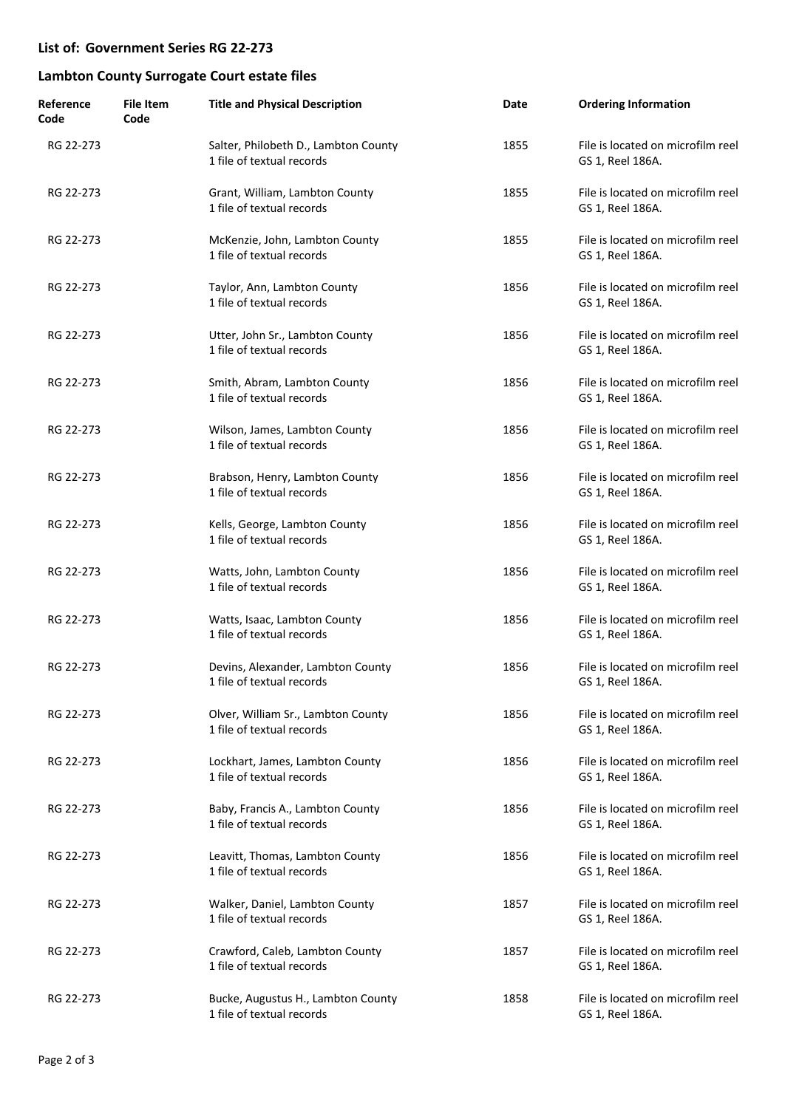### **List of: Government Series RG 22-273**

# **Lambton County Surrogate Court estate files**

| Reference<br>Code | <b>File Item</b><br>Code | <b>Title and Physical Description</b>                             | Date | <b>Ordering Information</b>                           |
|-------------------|--------------------------|-------------------------------------------------------------------|------|-------------------------------------------------------|
| RG 22-273         |                          | Salter, Philobeth D., Lambton County<br>1 file of textual records | 1855 | File is located on microfilm reel<br>GS 1, Reel 186A. |
| RG 22-273         |                          | Grant, William, Lambton County<br>1 file of textual records       | 1855 | File is located on microfilm reel<br>GS 1, Reel 186A. |
| RG 22-273         |                          | McKenzie, John, Lambton County<br>1 file of textual records       | 1855 | File is located on microfilm reel<br>GS 1, Reel 186A. |
| RG 22-273         |                          | Taylor, Ann, Lambton County<br>1 file of textual records          | 1856 | File is located on microfilm reel<br>GS 1, Reel 186A. |
| RG 22-273         |                          | Utter, John Sr., Lambton County<br>1 file of textual records      | 1856 | File is located on microfilm reel<br>GS 1, Reel 186A. |
| RG 22-273         |                          | Smith, Abram, Lambton County<br>1 file of textual records         | 1856 | File is located on microfilm reel<br>GS 1, Reel 186A. |
| RG 22-273         |                          | Wilson, James, Lambton County<br>1 file of textual records        | 1856 | File is located on microfilm reel<br>GS 1, Reel 186A. |
| RG 22-273         |                          | Brabson, Henry, Lambton County<br>1 file of textual records       | 1856 | File is located on microfilm reel<br>GS 1, Reel 186A. |
| RG 22-273         |                          | Kells, George, Lambton County<br>1 file of textual records        | 1856 | File is located on microfilm reel<br>GS 1, Reel 186A. |
| RG 22-273         |                          | Watts, John, Lambton County<br>1 file of textual records          | 1856 | File is located on microfilm reel<br>GS 1, Reel 186A. |
| RG 22-273         |                          | Watts, Isaac, Lambton County<br>1 file of textual records         | 1856 | File is located on microfilm reel<br>GS 1, Reel 186A. |
| RG 22-273         |                          | Devins, Alexander, Lambton County<br>1 file of textual records    | 1856 | File is located on microfilm reel<br>GS 1, Reel 186A. |
| RG 22-273         |                          | Olver, William Sr., Lambton County<br>1 file of textual records   | 1856 | File is located on microfilm reel<br>GS 1, Reel 186A. |
| RG 22-273         |                          | Lockhart, James, Lambton County<br>1 file of textual records      | 1856 | File is located on microfilm reel<br>GS 1, Reel 186A. |
| RG 22-273         |                          | Baby, Francis A., Lambton County<br>1 file of textual records     | 1856 | File is located on microfilm reel<br>GS 1, Reel 186A. |
| RG 22-273         |                          | Leavitt, Thomas, Lambton County<br>1 file of textual records      | 1856 | File is located on microfilm reel<br>GS 1, Reel 186A. |
| RG 22-273         |                          | Walker, Daniel, Lambton County<br>1 file of textual records       | 1857 | File is located on microfilm reel<br>GS 1, Reel 186A. |
| RG 22-273         |                          | Crawford, Caleb, Lambton County<br>1 file of textual records      | 1857 | File is located on microfilm reel<br>GS 1, Reel 186A. |
| RG 22-273         |                          | Bucke, Augustus H., Lambton County<br>1 file of textual records   | 1858 | File is located on microfilm reel<br>GS 1, Reel 186A. |